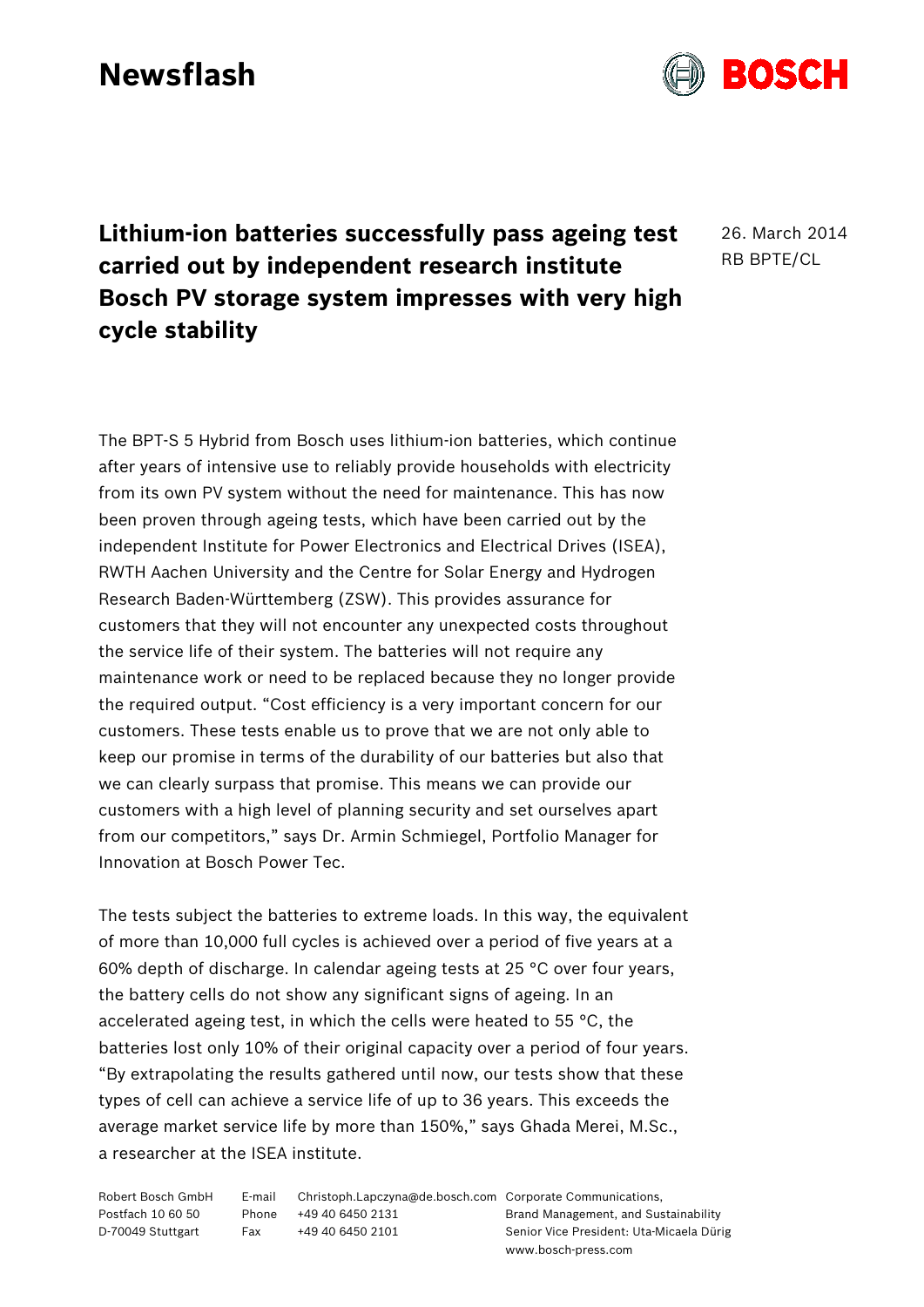## **Newsflash**



26. March 2014 RB BPTE/CL

The BPT-S 5 Hybrid from Bosch uses lithium-ion batteries, which continue after years of intensive use to reliably provide households with electricity from its own PV system without the need for maintenance. This has now been proven through ageing tests, which have been carried out by the independent Institute for Power Electronics and Electrical Drives (ISEA), RWTH Aachen University and the Centre for Solar Energy and Hydrogen Research Baden-Württemberg (ZSW). This provides assurance for customers that they will not encounter any unexpected costs throughout the service life of their system. The batteries will not require any maintenance work or need to be replaced because they no longer provide the required output. "Cost efficiency is a very important concern for our customers. These tests enable us to prove that we are not only able to keep our promise in terms of the durability of our batteries but also that we can clearly surpass that promise. This means we can provide our customers with a high level of planning security and set ourselves apart from our competitors," says Dr. Armin Schmiegel, Portfolio Manager for Innovation at Bosch Power Tec.

The tests subject the batteries to extreme loads. In this way, the equivalent of more than 10,000 full cycles is achieved over a period of five years at a 60% depth of discharge. In calendar ageing tests at 25 °C over four years, the battery cells do not show any significant signs of ageing. In an accelerated ageing test, in which the cells were heated to 55 °C, the batteries lost only 10% of their original capacity over a period of four years. "By extrapolating the results gathered until now, our tests show that these types of cell can achieve a service life of up to 36 years. This exceeds the average market service life by more than 150%," says Ghada Merei, M.Sc., a researcher at the ISEA institute.

| Robert Bosch GmbH | E-mail | Christoph.Lapczyna@de.bosch.com Corporate Communications, |                                          |
|-------------------|--------|-----------------------------------------------------------|------------------------------------------|
| Postfach 10 60 50 | Phone  | +49 40 6450 2131                                          | Brand Management, and Sustainability     |
| D-70049 Stuttgart | Fax    | +49 40 6450 2101                                          | Senior Vice President: Uta-Micaela Dürig |
|                   |        |                                                           | www.bosch-press.com                      |